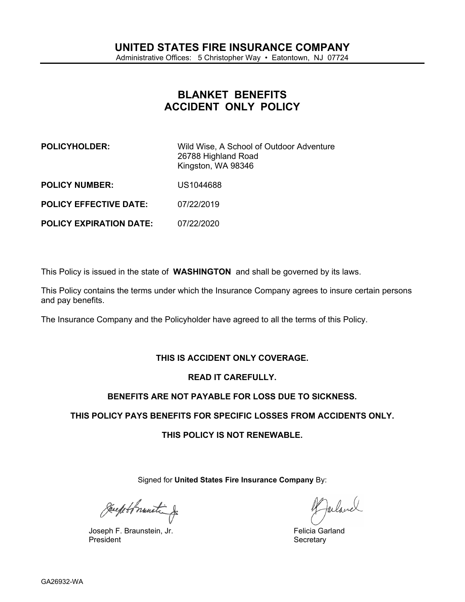# <span id="page-0-0"></span>BLANKET BENEFITS ACCIDENT ONLY POLICY

| POLICYHOLDER:          | Wild Wise, A School of Outdoor Adventure<br>26788 Highland Road<br>Kingston, WA 98346 |
|------------------------|---------------------------------------------------------------------------------------|
| <b>POLICY NUMBER:</b>  | US1044688                                                                             |
| POLICY EFFECTIVE DATE: | 07/22/2019                                                                            |

POLICY EXPIRATION DATE: [07/22/2020](#page-0-0)

This Policy is issued in the state of WASHINGTON and shall be governed by its laws.

This Policy contains the terms under which the Insurance Company agrees to insure certain persons and pay benefits.

The Insurance Company and the Policyholder have agreed to all the terms of this Policy.

## THIS IS ACCIDENT ONLY COVERAGE.

## READ IT CAREFULLY.

## BENEFITS ARE NOT PAYABLE FOR LOSS DUE TO SICKNESS.

THIS POLICY PAYS BENEFITS FOR SPECIFIC LOSSES FROM ACCIDENTS ONLY.

## THIS POLICY IS NOT RENEWABLE.

Signed for United States Fire Insurance Company By:

Joseph F. Braunstein, Jr.<br>President

Felicia Garland Secretary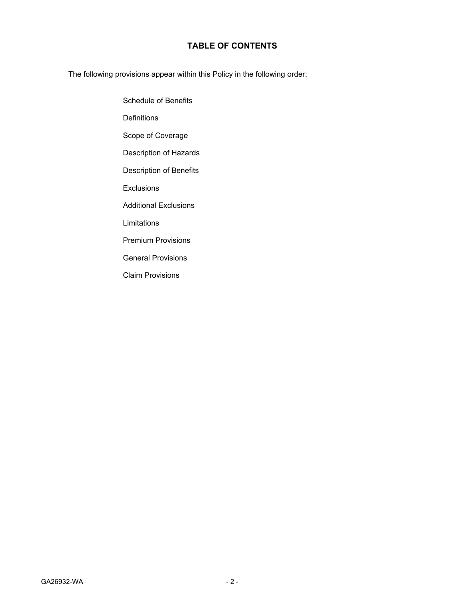## **TABLE OF CONTENTS**

The following provisions appear within this Policy in the following order:

Schedule of Benefits **Definitions** Scope of Coverage Description of Hazards Description of Benefits **Exclusions** Additional Exclusions Limitations Premium Provisions General Provisions Claim Provisions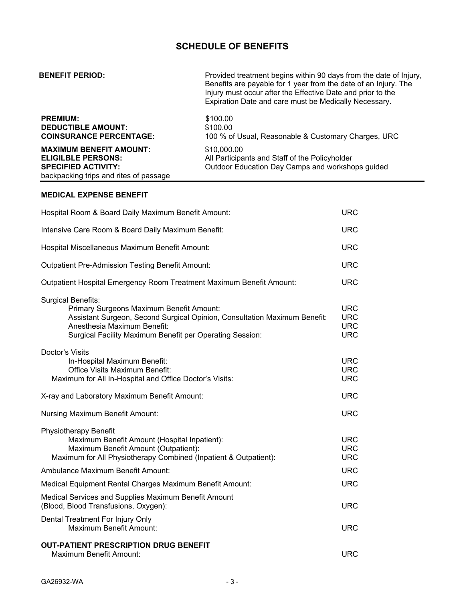## SCHEDULE OF BENEFITS

| <b>BENEFIT PERIOD:</b>                                                                                                                                                                                                                        | Provided treatment begins within 90 days from the date of Injury,<br>Benefits are payable for 1 year from the date of an Injury. The<br>Injury must occur after the Effective Date and prior to the<br>Expiration Date and care must be Medically Necessary. |                                                      |
|-----------------------------------------------------------------------------------------------------------------------------------------------------------------------------------------------------------------------------------------------|--------------------------------------------------------------------------------------------------------------------------------------------------------------------------------------------------------------------------------------------------------------|------------------------------------------------------|
| PREMIUM:<br><b>DEDUCTIBLE AMOUNT:</b><br><b>COINSURANCE PERCENTAGE:</b>                                                                                                                                                                       | \$100.00<br>\$100.00<br>100 % of Usual, Reasonable & Customary Charges, URC                                                                                                                                                                                  |                                                      |
| <b>MAXIMUM BENEFIT AMOUNT:</b><br><b>ELIGILBLE PERSONS:</b><br><b>SPECIFIED ACTIVITY:</b><br>backpacking trips and rites of passage                                                                                                           | \$10,000.00<br>All Participants and Staff of the Policyholder<br>Outdoor Education Day Camps and workshops guided                                                                                                                                            |                                                      |
| MEDICAL EXPENSE BENEFIT                                                                                                                                                                                                                       |                                                                                                                                                                                                                                                              |                                                      |
| Hospital Room & Board Daily Maximum Benefit Amount:                                                                                                                                                                                           |                                                                                                                                                                                                                                                              | <b>URC</b>                                           |
| Intensive Care Room & Board Daily Maximum Benefit:                                                                                                                                                                                            |                                                                                                                                                                                                                                                              | <b>URC</b>                                           |
| Hospital Miscellaneous Maximum Benefit Amount:                                                                                                                                                                                                |                                                                                                                                                                                                                                                              | <b>URC</b>                                           |
| <b>Outpatient Pre-Admission Testing Benefit Amount:</b>                                                                                                                                                                                       |                                                                                                                                                                                                                                                              | <b>URC</b>                                           |
| Outpatient Hospital Emergency Room Treatment Maximum Benefit Amount:                                                                                                                                                                          |                                                                                                                                                                                                                                                              | <b>URC</b>                                           |
| <b>Surgical Benefits:</b><br>Primary Surgeons Maximum Benefit Amount:<br>Assistant Surgeon, Second Surgical Opinion, Consultation Maximum Benefit:<br>Anesthesia Maximum Benefit:<br>Surgical Facility Maximum Benefit per Operating Session: |                                                                                                                                                                                                                                                              | <b>URC</b><br><b>URC</b><br><b>URC</b><br><b>URC</b> |
| Doctor's Visits<br>In-Hospital Maximum Benefit:<br><b>Office Visits Maximum Benefit:</b><br>Maximum for All In-Hospital and Office Doctor's Visits:                                                                                           |                                                                                                                                                                                                                                                              | <b>URC</b><br><b>URC</b><br><b>URC</b>               |
| X-ray and Laboratory Maximum Benefit Amount:                                                                                                                                                                                                  |                                                                                                                                                                                                                                                              | <b>URC</b>                                           |
| <b>Nursing Maximum Benefit Amount:</b>                                                                                                                                                                                                        |                                                                                                                                                                                                                                                              | <b>URC</b>                                           |
| Physiotherapy Benefit<br>Maximum Benefit Amount (Hospital Inpatient):<br>Maximum Benefit Amount (Outpatient):<br>Maximum for All Physiotherapy Combined (Inpatient & Outpatient):                                                             |                                                                                                                                                                                                                                                              | <b>URC</b><br><b>URC</b><br><b>URC</b>               |
| Ambulance Maximum Benefit Amount:                                                                                                                                                                                                             |                                                                                                                                                                                                                                                              | <b>URC</b>                                           |
| Medical Equipment Rental Charges Maximum Benefit Amount:                                                                                                                                                                                      |                                                                                                                                                                                                                                                              | <b>URC</b>                                           |
| Medical Services and Supplies Maximum Benefit Amount<br>(Blood, Blood Transfusions, Oxygen):                                                                                                                                                  |                                                                                                                                                                                                                                                              | <b>URC</b>                                           |
| Dental Treatment For Injury Only<br>Maximum Benefit Amount:                                                                                                                                                                                   |                                                                                                                                                                                                                                                              | <b>URC</b>                                           |
| <b>OUT-PATIENT PRESCRIPTION DRUG BENEFIT</b><br>Maximum Benefit Amount:                                                                                                                                                                       |                                                                                                                                                                                                                                                              | <b>URC</b>                                           |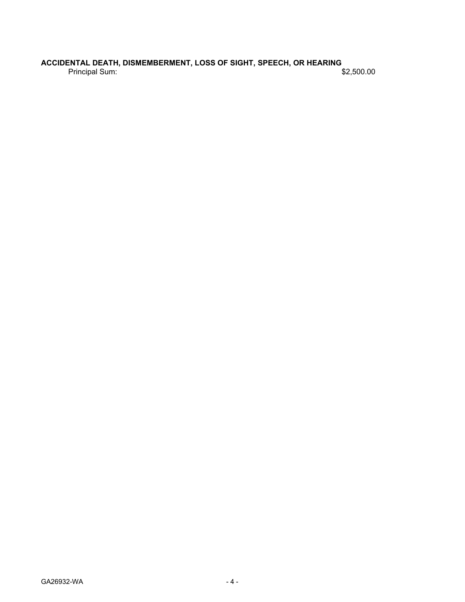ACCIDENTAL DEATH, DISMEMBERMENT, LOSS OF SIGHT, SPEECH, OR HEARING Principal Sum: \$[2,500.00](#page-0-0)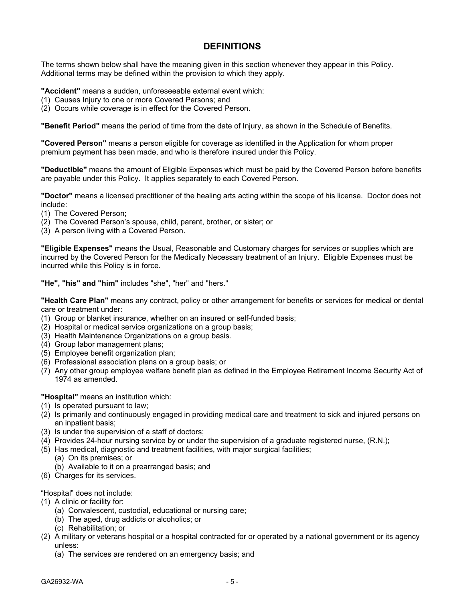## **DEFINITIONS**

The terms shown below shall have the meaning given in this section whenever they appear in this Policy. Additional terms may be defined within the provision to which they apply.

**"Accident"** means a sudden, unforeseeable external event which:

- (1) Causes Injury to one or more Covered Persons; and
- (2) Occurs while coverage is in effect for the Covered Person.

**"Benefit Period"** means the period of time from the date of Injury, as shown in the Schedule of Benefits.

**"Covered Person"** means a person eligible for coverage as identified in the Application for whom proper premium payment has been made, and who is therefore insured under this Policy.

**"Deductible"** means the amount of Eligible Expenses which must be paid by the Covered Person before benefits are payable under this Policy. It applies separately to each Covered Person.

**"Doctor"** means a licensed practitioner of the healing arts acting within the scope of his license. Doctor does not include:

- (1) The Covered Person;
- (2) The Covered Person's spouse, child, parent, brother, or sister; or
- (3) A person living with a Covered Person.

**"Eligible Expenses"** means the Usual, Reasonable and Customary charges for services or supplies which are incurred by the Covered Person for the Medically Necessary treatment of an Injury. Eligible Expenses must be incurred while this Policy is in force.

**"He", "his" and "him"** includes "she", "her" and "hers."

**"Health Care Plan"** means any contract, policy or other arrangement for benefits or services for medical or dental care or treatment under:

- (1) Group or blanket insurance, whether on an insured or self-funded basis;
- (2) Hospital or medical service organizations on a group basis;
- (3) Health Maintenance Organizations on a group basis.
- (4) Group labor management plans;
- (5) Employee benefit organization plan;
- (6) Professional association plans on a group basis; or
- (7) Any other group employee welfare benefit plan as defined in the Employee Retirement Income Security Act of 1974 as amended.

**"Hospital"** means an institution which:

- (1) Is operated pursuant to law;
- (2) Is primarily and continuously engaged in providing medical care and treatment to sick and injured persons on an inpatient basis;
- (3) Is under the supervision of a staff of doctors;
- (4) Provides 24-hour nursing service by or under the supervision of a graduate registered nurse, (R.N.);
- (5) Has medical, diagnostic and treatment facilities, with major surgical facilities;
	- (a) On its premises; or
	- (b) Available to it on a prearranged basis; and
- (6) Charges for its services.

"Hospital" does not include:

- (1) A clinic or facility for:
	- (a) Convalescent, custodial, educational or nursing care;
	- (b) The aged, drug addicts or alcoholics; or
	- (c) Rehabilitation; or
- (2) A military or veterans hospital or a hospital contracted for or operated by a national government or its agency unless:
	- (a) The services are rendered on an emergency basis; and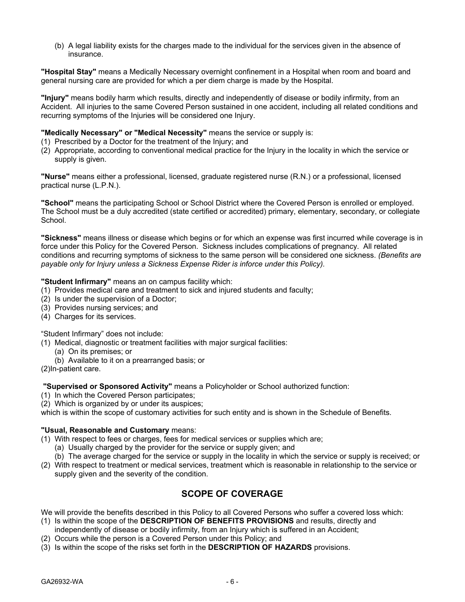(b) A legal liability exists for the charges made to the individual for the services given in the absence of insurance.

**"Hospital Stay"** means a Medically Necessary overnight confinement in a Hospital when room and board and general nursing care are provided for which a per diem charge is made by the Hospital.

**"Injury"** means bodily harm which results, directly and independently of disease or bodily infirmity, from an Accident. All injuries to the same Covered Person sustained in one accident, including all related conditions and recurring symptoms of the Injuries will be considered one Injury.

### **"Medically Necessary" or "Medical Necessity"** means the service or supply is:

- (1) Prescribed by a Doctor for the treatment of the Injury; and
- (2) Appropriate, according to conventional medical practice for the Injury in the locality in which the service or supply is given.

**"Nurse"** means either a professional, licensed, graduate registered nurse (R.N.) or a professional, licensed practical nurse (L.P.N.).

**"School"** means the participating School or School District where the Covered Person is enrolled or employed. The School must be a duly accredited (state certified or accredited) primary, elementary, secondary, or collegiate School.

**"Sickness"** means illness or disease which begins or for which an expense was first incurred while coverage is in force under this Policy for the Covered Person. Sickness includes complications of pregnancy. All related conditions and recurring symptoms of sickness to the same person will be considered one sickness. *(Benefits are payable only for Injury unless a Sickness Expense Rider is inforce under this Policy).*

### **"Student Infirmary"** means an on campus facility which:

- (1) Provides medical care and treatment to sick and injured students and faculty;
- (2) Is under the supervision of a Doctor;
- (3) Provides nursing services; and
- (4) Charges for its services.

"Student Infirmary" does not include:

- (1) Medical, diagnostic or treatment facilities with major surgical facilities:
	- (a) On its premises; or
	- (b) Available to it on a prearranged basis; or

(2)In-patient care.

**"Supervised or Sponsored Activity"** means a Policyholder or School authorized function:

- (1) In which the Covered Person participates;
- (2) Which is organized by or under its auspices;

which is within the scope of customary activities for such entity and is shown in the Schedule of Benefits.

### **"Usual, Reasonable and Customary** means:

- (1) With respect to fees or charges, fees for medical services or supplies which are;
	- (a) Usually charged by the provider for the service or supply given; and
	- (b) The average charged for the service or supply in the locality in which the service or supply is received; or
- (2) With respect to treatment or medical services, treatment which is reasonable in relationship to the service or supply given and the severity of the condition.

## **SCOPE OF COVERAGE**

We will provide the benefits described in this Policy to all Covered Persons who suffer a covered loss which:

- (1) Is within the scope of the **DESCRIPTION OF BENEFITS PROVISIONS** and results, directly and
- independently of disease or bodily infirmity, from an Injury which is suffered in an Accident;
- (2) Occurs while the person is a Covered Person under this Policy; and
- (3) Is within the scope of the risks set forth in the **DESCRIPTION OF HAZARDS** provisions.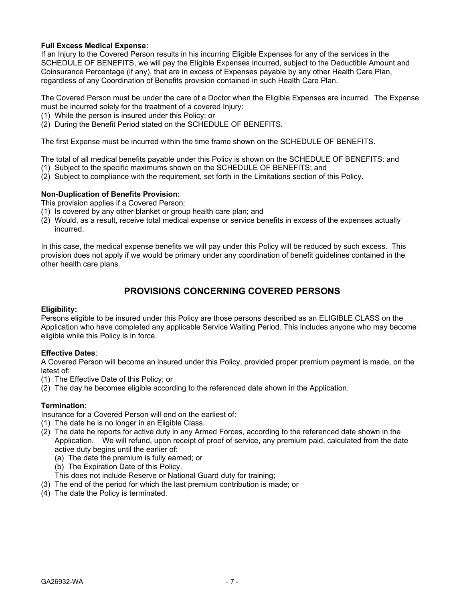### **Full Excess Medical Expense:**

If an Injury to the Covered Person results in his incurring Eligible Expenses for any of the services in the SCHEDULE OF BENEFITS, we will pay the Eligible Expenses incurred, subject to the Deductible Amount and Coinsurance Percentage (if any), that are in excess of Expenses payable by any other Health Care Plan, regardless of any Coordination of Benefits provision contained in such Health Care Plan.

The Covered Person must be under the care of a Doctor when the Eligible Expenses are incurred. The Expense must be incurred solely for the treatment of a covered Injury:

- (1) While the person is insured under this Policy; or
- (2) During the Benefit Period stated on the SCHEDULE OF BENEFITS.

The first Expense must be incurred within the time frame shown on the SCHEDULE OF BENEFITS.

The total of all medical benefits payable under this Policy is shown on the SCHEDULE OF BENEFITS: and

- (1) Subject to the specific maximums shown on the SCHEDULE OF BENEFITS; and
- (2) Subject to compliance with the requirement, set forth in the Limitations section of this Policy.

### **Non-Duplication of Benefits Provision:**

This provision applies if a Covered Person:

- (1) Is covered by any other blanket or group health care plan; and
- (2) Would, as a result, receive total medical expense or service benefits in excess of the expenses actually incurred.

In this case, the medical expense benefits we will pay under this Policy will be reduced by such excess. This provision does not apply if we would be primary under any coordination of benefit guidelines contained in the other health care plans.

## **PROVISIONS CONCERNING COVERED PERSONS**

### **Eligibility:**

Persons eligible to be insured under this Policy are those persons described as an ELIGIBLE CLASS on the Application who have completed any applicable Service Waiting Period. This includes anyone who may become eligible while this Policy is in force.

### **Effective Dates**:

A Covered Person will become an insured under this Policy, provided proper premium payment is made, on the latest of:

- (1) The Effective Date of this Policy; or
- (2) The day he becomes eligible according to the referenced date shown in the Application.

### **Termination**:

Insurance for a Covered Person will end on the earliest of:

- (1) The date he is no longer in an Eligible Class.
- (2) The date he reports for active duty in any Armed Forces, according to the referenced date shown in the Application. We will refund, upon receipt of proof of service, any premium paid, calculated from the date active duty begins until the earlier of:
	- (a) The date the premium is fully earned; or
	- (b) The Expiration Date of this Policy.
	- This does not include Reserve or National Guard duty for training;
- (3) The end of the period for which the last premium contribution is made; or
- (4) The date the Policy is terminated.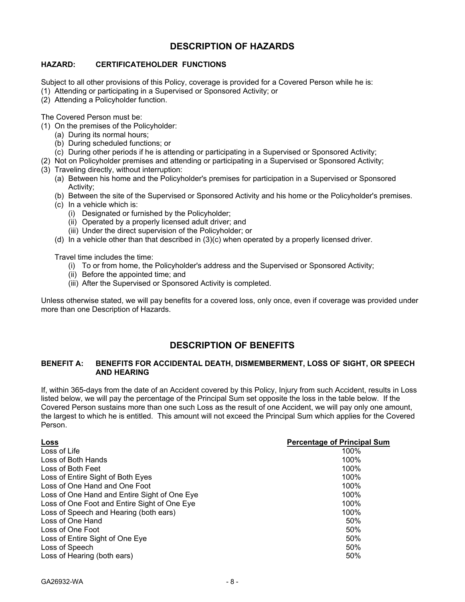## **DESCRIPTION OF HAZARDS**

### **HAZARD: CERTIFICATEHOLDER FUNCTIONS**

Subject to all other provisions of this Policy, coverage is provided for a Covered Person while he is:

- (1) Attending or participating in a Supervised or Sponsored Activity; or
- (2) Attending a Policyholder function.

The Covered Person must be:

- (1) On the premises of the Policyholder:
	- (a) During its normal hours;
	- (b) During scheduled functions; or
	- (c) During other periods if he is attending or participating in a Supervised or Sponsored Activity;
- (2) Not on Policyholder premises and attending or participating in a Supervised or Sponsored Activity;
- (3) Traveling directly, without interruption:
	- (a) Between his home and the Policyholder's premises for participation in a Supervised or Sponsored Activity;
	- (b) Between the site of the Supervised or Sponsored Activity and his home or the Policyholder's premises.
	- (c) In a vehicle which is:
		- (i) Designated or furnished by the Policyholder;
		- (ii) Operated by a properly licensed adult driver; and
		- (iii) Under the direct supervision of the Policyholder; or
	- (d) In a vehicle other than that described in (3)(c) when operated by a properly licensed driver.

Travel time includes the time:

- (i) To or from home, the Policyholder's address and the Supervised or Sponsored Activity;
- (ii) Before the appointed time; and
- (iii) After the Supervised or Sponsored Activity is completed.

Unless otherwise stated, we will pay benefits for a covered loss, only once, even if coverage was provided under more than one Description of Hazards.

## **DESCRIPTION OF BENEFITS**

### **BENEFIT A: BENEFITS FOR ACCIDENTAL DEATH, DISMEMBERMENT, LOSS OF SIGHT, OR SPEECH AND HEARING**

If, within 365-days from the date of an Accident covered by this Policy, Injury from such Accident, results in Loss listed below, we will pay the percentage of the Principal Sum set opposite the loss in the table below. If the Covered Person sustains more than one such Loss as the result of one Accident, we will pay only one amount, the largest to which he is entitled. This amount will not exceed the Principal Sum which applies for the Covered Person.

| <u>Loss</u>                                  | <b>Percentage of Principal Sum</b> |
|----------------------------------------------|------------------------------------|
| Loss of Life                                 | 100%                               |
| Loss of Both Hands                           | 100%                               |
| Loss of Both Feet                            | 100%                               |
| Loss of Entire Sight of Both Eyes            | 100%                               |
| Loss of One Hand and One Foot                | 100%                               |
| Loss of One Hand and Entire Sight of One Eye | 100%                               |
| Loss of One Foot and Entire Sight of One Eye | 100%                               |
| Loss of Speech and Hearing (both ears)       | 100%                               |
| Loss of One Hand                             | 50%                                |
| Loss of One Foot                             | 50%                                |
| Loss of Entire Sight of One Eye              | 50%                                |
| Loss of Speech                               | 50%                                |
| Loss of Hearing (both ears)                  | 50%                                |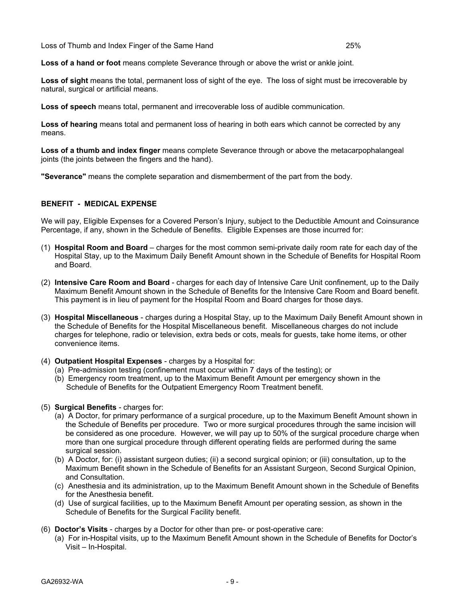Loss of Thumb and Index Finger of the Same Hand 25%

**Loss of a hand or foot** means complete Severance through or above the wrist or ankle joint.

**Loss of sight** means the total, permanent loss of sight of the eye. The loss of sight must be irrecoverable by natural, surgical or artificial means.

**Loss of speech** means total, permanent and irrecoverable loss of audible communication.

**Loss of hearing** means total and permanent loss of hearing in both ears which cannot be corrected by any means.

**Loss of a thumb and index finger** means complete Severance through or above the metacarpophalangeal joints (the joints between the fingers and the hand).

**"Severance"** means the complete separation and dismemberment of the part from the body.

### **BENEFIT - MEDICAL EXPENSE**

We will pay, Eligible Expenses for a Covered Person's Injury, subject to the Deductible Amount and Coinsurance Percentage, if any, shown in the Schedule of Benefits. Eligible Expenses are those incurred for:

- (1) **Hospital Room and Board** charges for the most common semi-private daily room rate for each day of the Hospital Stay, up to the Maximum Daily Benefit Amount shown in the Schedule of Benefits for Hospital Room and Board.
- (2) **Intensive Care Room and Board** charges for each day of Intensive Care Unit confinement, up to the Daily Maximum Benefit Amount shown in the Schedule of Benefits for the Intensive Care Room and Board benefit. This payment is in lieu of payment for the Hospital Room and Board charges for those days.
- (3) **Hospital Miscellaneous** charges during a Hospital Stay, up to the Maximum Daily Benefit Amount shown in the Schedule of Benefits for the Hospital Miscellaneous benefit. Miscellaneous charges do not include charges for telephone, radio or television, extra beds or cots, meals for guests, take home items, or other convenience items.
- (4) **Outpatient Hospital Expenses** charges by a Hospital for:
	- (a) Pre-admission testing (confinement must occur within 7 days of the testing); or
	- (b) Emergency room treatment, up to the Maximum Benefit Amount per emergency shown in the Schedule of Benefits for the Outpatient Emergency Room Treatment benefit.
- (5) **Surgical Benefits** charges for:
	- (a) A Doctor, for primary performance of a surgical procedure, up to the Maximum Benefit Amount shown in the Schedule of Benefits per procedure. Two or more surgical procedures through the same incision will be considered as one procedure. However, we will pay up to 50% of the surgical procedure charge when more than one surgical procedure through different operating fields are performed during the same surgical session.
	- (b) A Doctor, for: (i) assistant surgeon duties; (ii) a second surgical opinion; or (iii) consultation, up to the Maximum Benefit shown in the Schedule of Benefits for an Assistant Surgeon, Second Surgical Opinion, and Consultation.
	- (c) Anesthesia and its administration, up to the Maximum Benefit Amount shown in the Schedule of Benefits for the Anesthesia benefit.
	- (d) Use of surgical facilities, up to the Maximum Benefit Amount per operating session, as shown in the Schedule of Benefits for the Surgical Facility benefit.
- (6) **Doctor's Visits** charges by a Doctor for other than pre- or post-operative care:
	- (a) For in-Hospital visits, up to the Maximum Benefit Amount shown in the Schedule of Benefits for Doctor's Visit – In-Hospital.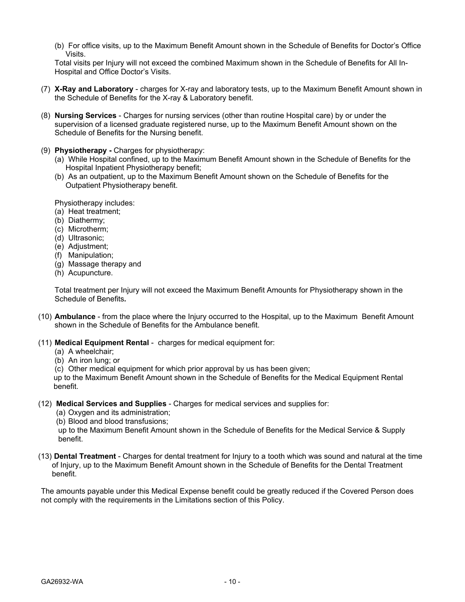(b) For office visits, up to the Maximum Benefit Amount shown in the Schedule of Benefits for Doctor's Office Visits.

Total visits per Injury will not exceed the combined Maximum shown in the Schedule of Benefits for All In-Hospital and Office Doctor's Visits.

- (7) **X-Ray and Laboratory** charges for X-ray and laboratory tests, up to the Maximum Benefit Amount shown in the Schedule of Benefits for the X-ray & Laboratory benefit.
- (8) **Nursing Services** Charges for nursing services (other than routine Hospital care) by or under the supervision of a licensed graduate registered nurse, up to the Maximum Benefit Amount shown on the Schedule of Benefits for the Nursing benefit.
- (9) **Physiotherapy -** Charges for physiotherapy:
	- (a) While Hospital confined, up to the Maximum Benefit Amount shown in the Schedule of Benefits for the Hospital Inpatient Physiotherapy benefit;
	- (b) As an outpatient, up to the Maximum Benefit Amount shown on the Schedule of Benefits for the Outpatient Physiotherapy benefit.

Physiotherapy includes:

- (a) Heat treatment;
- (b) Diathermy;
- (c) Microtherm;
- (d) Ultrasonic;
- (e) Adjustment;
- (f) Manipulation;
- (g) Massage therapy and
- (h) Acupuncture.

Total treatment per Injury will not exceed the Maximum Benefit Amounts for Physiotherapy shown in the Schedule of Benefits*.*

- (10) **Ambulance** from the place where the Injury occurred to the Hospital, up to the Maximum Benefit Amount shown in the Schedule of Benefits for the Ambulance benefit.
- (11) **Medical Equipment Rental** charges for medical equipment for:
	- (a) A wheelchair;
	- (b) An iron lung; or
	- (c) Other medical equipment for which prior approval by us has been given;

 up to the Maximum Benefit Amount shown in the Schedule of Benefits for the Medical Equipment Rental benefit.

- (12) **Medical Services and Supplies** Charges for medical services and supplies for:
	- (a) Oxygen and its administration;
	- (b) Blood and blood transfusions;

 up to the Maximum Benefit Amount shown in the Schedule of Benefits for the Medical Service & Supply benefit.

(13) **Dental Treatment** - Charges for dental treatment for Injury to a tooth which was sound and natural at the time of Injury, up to the Maximum Benefit Amount shown in the Schedule of Benefits for the Dental Treatment benefit.

The amounts payable under this Medical Expense benefit could be greatly reduced if the Covered Person does not comply with the requirements in the Limitations section of this Policy.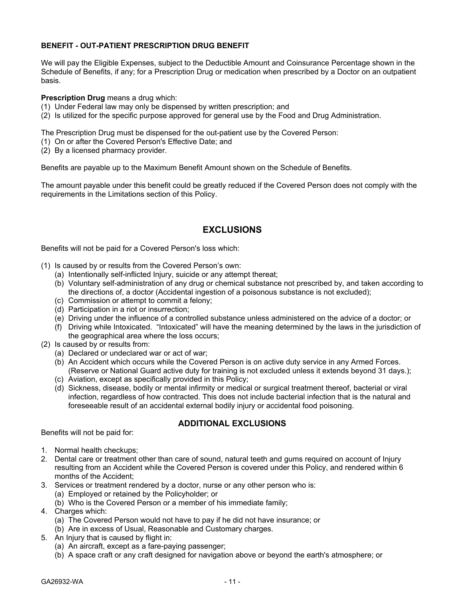### **BENEFIT - OUT-PATIENT PRESCRIPTION DRUG BENEFIT**

We will pay the Eligible Expenses, subject to the Deductible Amount and Coinsurance Percentage shown in the Schedule of Benefits, if any; for a Prescription Drug or medication when prescribed by a Doctor on an outpatient basis.

### **Prescription Drug** means a drug which:

- (1) Under Federal law may only be dispensed by written prescription; and
- (2) Is utilized for the specific purpose approved for general use by the Food and Drug Administration.

The Prescription Drug must be dispensed for the out-patient use by the Covered Person:

- (1) On or after the Covered Person's Effective Date; and
- (2) By a licensed pharmacy provider.

Benefits are payable up to the Maximum Benefit Amount shown on the Schedule of Benefits.

The amount payable under this benefit could be greatly reduced if the Covered Person does not comply with the requirements in the Limitations section of this Policy.

## **EXCLUSIONS**

Benefits will not be paid for a Covered Person's loss which:

- (1) Is caused by or results from the Covered Person's own:
	- (a) Intentionally self-inflicted Injury, suicide or any attempt thereat;
	- (b) Voluntary self-administration of any drug or chemical substance not prescribed by, and taken according to the directions of, a doctor (Accidental ingestion of a poisonous substance is not excluded);
	- (c) Commission or attempt to commit a felony;
	- (d) Participation in a riot or insurrection;
	- (e) Driving under the influence of a controlled substance unless administered on the advice of a doctor; or
	- (f) Driving while Intoxicated. "Intoxicated" will have the meaning determined by the laws in the jurisdiction of the geographical area where the loss occurs;
- (2) Is caused by or results from:
	- (a) Declared or undeclared war or act of war;
	- (b) An Accident which occurs while the Covered Person is on active duty service in any Armed Forces. (Reserve or National Guard active duty for training is not excluded unless it extends beyond 31 days.);
	- (c) Aviation, except as specifically provided in this Policy;
	- (d) Sickness, disease, bodily or mental infirmity or medical or surgical treatment thereof, bacterial or viral infection, regardless of how contracted. This does not include bacterial infection that is the natural and foreseeable result of an accidental external bodily injury or accidental food poisoning.

### **ADDITIONAL EXCLUSIONS**

Benefits will not be paid for:

- 1. Normal health checkups;
- 2. Dental care or treatment other than care of sound, natural teeth and gums required on account of Injury resulting from an Accident while the Covered Person is covered under this Policy, and rendered within 6 months of the Accident;
- 3. Services or treatment rendered by a doctor, nurse or any other person who is:
	- (a) Employed or retained by the Policyholder; or
	- (b) Who is the Covered Person or a member of his immediate family;
- 4. Charges which:
	- (a) The Covered Person would not have to pay if he did not have insurance; or
	- (b) Are in excess of Usual, Reasonable and Customary charges.
- 5. An Injury that is caused by flight in:
	- (a) An aircraft, except as a fare-paying passenger;
	- (b) A space craft or any craft designed for navigation above or beyond the earth's atmosphere; or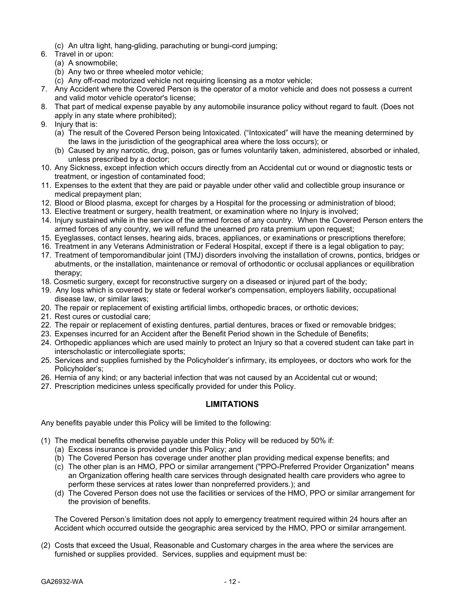- (c) An ultra light, hang-gliding, parachuting or bungi-cord jumping;
- 6. Travel in or upon:
	- (a) A snowmobile;
	- (b) Any two or three wheeled motor vehicle;
	- (c) Any off-road motorized vehicle not requiring licensing as a motor vehicle;
- 7. Any Accident where the Covered Person is the operator of a motor vehicle and does not possess a current and valid motor vehicle operator's license;
- 8. That part of medical expense payable by any automobile insurance policy without regard to fault. (Does not apply in any state where prohibited);
- 9. Injury that is:
	- (a) The result of the Covered Person being Intoxicated. ("Intoxicated" will have the meaning determined by the laws in the jurisdiction of the geographical area where the loss occurs); or
	- (b) Caused by any narcotic, drug, poison, gas or fumes voluntarily taken, administered, absorbed or inhaled, unless prescribed by a doctor;
- 10. Any Sickness, except infection which occurs directly from an Accidental cut or wound or diagnostic tests or treatment, or ingestion of contaminated food;
- 11. Expenses to the extent that they are paid or payable under other valid and collectible group insurance or medical prepayment plan;
- 12. Blood or Blood plasma, except for charges by a Hospital for the processing or administration of blood;
- 13. Elective treatment or surgery, health treatment, or examination where no Injury is involved;
- 14. Injury sustained while in the service of the armed forces of any country. When the Covered Person enters the armed forces of any country, we will refund the unearned pro rata premium upon request;
- 15. Eyeglasses, contact lenses, hearing aids, braces, appliances, or examinations or prescriptions therefore;
- 16. Treatment in any Veterans Administration or Federal Hospital, except if there is a legal obligation to pay;
- 17. Treatment of temporomandibular joint (TMJ) disorders involving the installation of crowns, pontics, bridges or abutments, or the installation, maintenance or removal of orthodontic or occlusal appliances or equilibration therapy;
- 18. Cosmetic surgery, except for reconstructive surgery on a diseased or injured part of the body;
- 19. Any loss which is covered by state or federal worker's compensation, employers liability, occupational disease law, or similar laws;
- 20. The repair or replacement of existing artificial limbs, orthopedic braces, or orthotic devices;
- 21. Rest cures or custodial care;
- 22. The repair or replacement of existing dentures, partial dentures, braces or fixed or removable bridges;
- 23. Expenses incurred for an Accident after the Benefit Period shown in the Schedule of Benefits;
- 24. Orthopedic appliances which are used mainly to protect an Injury so that a covered student can take part in interscholastic or intercollegiate sports;
- 25. Services and supplies furnished by the Policyholder's infirmary, its employees, or doctors who work for the Policyholder's;
- 26. Hernia of any kind; or any bacterial infection that was not caused by an Accidental cut or wound;
- 27. Prescription medicines unless specifically provided for under this Policy.

## **LIMITATIONS**

Any benefits payable under this Policy will be limited to the following:

- (1) The medical benefits otherwise payable under this Policy will be reduced by 50% if:
	- (a) Excess insurance is provided under this Policy; and
	- (b) The Covered Person has coverage under another plan providing medical expense benefits; and
	- (c) The other plan is an HMO, PPO or similar arrangement ("PPO-Preferred Provider Organization" means an Organization offering health care services through designated health care providers who agree to perform these services at rates lower than nonpreferred providers.); and
	- (d) The Covered Person does not use the facilities or services of the HMO, PPO or similar arrangement for the provision of benefits.

The Covered Person's limitation does not apply to emergency treatment required within 24 hours after an Accident which occurred outside the geographic area serviced by the HMO, PPO or similar arrangement.

(2) Costs that exceed the Usual, Reasonable and Customary charges in the area where the services are furnished or supplies provided. Services, supplies and equipment must be: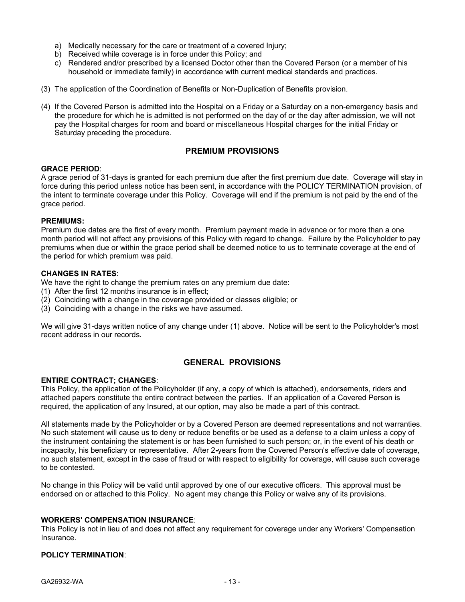- a) Medically necessary for the care or treatment of a covered Injury;
- b) Received while coverage is in force under this Policy; and
- c) Rendered and/or prescribed by a licensed Doctor other than the Covered Person (or a member of his household or immediate family) in accordance with current medical standards and practices.
- (3) The application of the Coordination of Benefits or Non-Duplication of Benefits provision.
- (4) If the Covered Person is admitted into the Hospital on a Friday or a Saturday on a non-emergency basis and the procedure for which he is admitted is not performed on the day of or the day after admission, we will not pay the Hospital charges for room and board or miscellaneous Hospital charges for the initial Friday or Saturday preceding the procedure.

### **PREMIUM PROVISIONS**

### **GRACE PERIOD**:

A grace period of 31-days is granted for each premium due after the first premium due date. Coverage will stay in force during this period unless notice has been sent, in accordance with the POLICY TERMINATION provision, of the intent to terminate coverage under this Policy. Coverage will end if the premium is not paid by the end of the grace period.

### **PREMIUMS:**

Premium due dates are the first of every month. Premium payment made in advance or for more than a one month period will not affect any provisions of this Policy with regard to change.Failure by the Policyholder to pay premiums when due or within the grace period shall be deemed notice to us to terminate coverage at the end of the period for which premium was paid.

### **CHANGES IN RATES**:

We have the right to change the premium rates on any premium due date:

- (1) After the first 12 months insurance is in effect;
- (2) Coinciding with a change in the coverage provided or classes eligible; or
- (3) Coinciding with a change in the risks we have assumed.

We will give 31-days written notice of any change under (1) above. Notice will be sent to the Policyholder's most recent address in our records.

## **GENERAL PROVISIONS**

### **ENTIRE CONTRACT; CHANGES**:

This Policy, the application of the Policyholder (if any, a copy of which is attached), endorsements, riders and attached papers constitute the entire contract between the parties. If an application of a Covered Person is required, the application of any Insured, at our option, may also be made a part of this contract.

All statements made by the Policyholder or by a Covered Person are deemed representations and not warranties. No such statement will cause us to deny or reduce benefits or be used as a defense to a claim unless a copy of the instrument containing the statement is or has been furnished to such person; or, in the event of his death or incapacity, his beneficiary or representative. After 2**-**years from the Covered Person's effective date of coverage, no such statement, except in the case of fraud or with respect to eligibility for coverage, will cause such coverage to be contested.

No change in this Policy will be valid until approved by one of our executive officers. This approval must be endorsed on or attached to this Policy. No agent may change this Policy or waive any of its provisions.

### **WORKERS' COMPENSATION INSURANCE**:

This Policy is not in lieu of and does not affect any requirement for coverage under any Workers' Compensation Insurance.

### **POLICY TERMINATION**: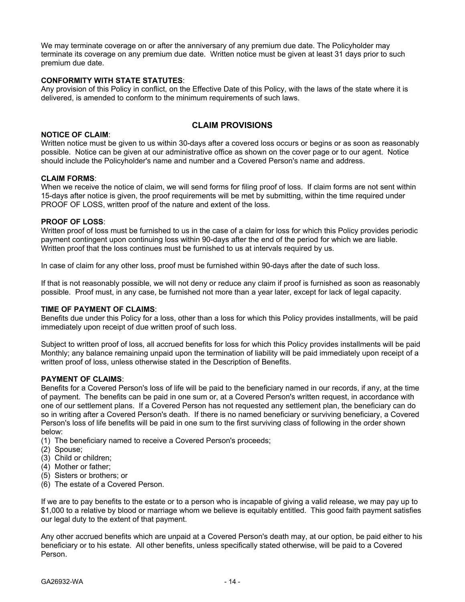We may terminate coverage on or after the anniversary of any premium due date. The Policyholder may terminate its coverage on any premium due date. Written notice must be given at least 31 days prior to such premium due date.

### **CONFORMITY WITH STATE STATUTES**:

Any provision of this Policy in conflict, on the Effective Date of this Policy, with the laws of the state where it is delivered, is amended to conform to the minimum requirements of such laws.

## **CLAIM PROVISIONS**

#### **NOTICE OF CLAIM**:

Written notice must be given to us within 30-days after a covered loss occurs or begins or as soon as reasonably possible. Notice can be given at our administrative office as shown on the cover page or to our agent. Notice should include the Policyholder's name and number and a Covered Person's name and address.

#### **CLAIM FORMS**:

When we receive the notice of claim, we will send forms for filing proof of loss. If claim forms are not sent within 15-days after notice is given, the proof requirements will be met by submitting, within the time required under PROOF OF LOSS, written proof of the nature and extent of the loss.

### **PROOF OF LOSS**:

Written proof of loss must be furnished to us in the case of a claim for loss for which this Policy provides periodic payment contingent upon continuing loss within 90-days after the end of the period for which we are liable. Written proof that the loss continues must be furnished to us at intervals required by us.

In case of claim for any other loss, proof must be furnished within 90-days after the date of such loss.

If that is not reasonably possible, we will not deny or reduce any claim if proof is furnished as soon as reasonably possible. Proof must, in any case, be furnished not more than a year later, except for lack of legal capacity.

### **TIME OF PAYMENT OF CLAIMS**:

Benefits due under this Policy for a loss, other than a loss for which this Policy provides installments, will be paid immediately upon receipt of due written proof of such loss.

Subject to written proof of loss, all accrued benefits for loss for which this Policy provides installments will be paid Monthly; any balance remaining unpaid upon the termination of liability will be paid immediately upon receipt of a written proof of loss, unless otherwise stated in the Description of Benefits.

#### **PAYMENT OF CLAIMS**:

Benefits for a Covered Person's loss of life will be paid to the beneficiary named in our records, if any, at the time of payment. The benefits can be paid in one sum or, at a Covered Person's written request, in accordance with one of our settlement plans. If a Covered Person has not requested any settlement plan, the beneficiary can do so in writing after a Covered Person's death. If there is no named beneficiary or surviving beneficiary, a Covered Person's loss of life benefits will be paid in one sum to the first surviving class of following in the order shown below:

- (1) The beneficiary named to receive a Covered Person's proceeds;
- (2) Spouse;
- (3) Child or children;
- (4) Mother or father;
- (5) Sisters or brothers; or
- (6) The estate of a Covered Person.

If we are to pay benefits to the estate or to a person who is incapable of giving a valid release, we may pay up to \$1,000 to a relative by blood or marriage whom we believe is equitably entitled. This good faith payment satisfies our legal duty to the extent of that payment.

Any other accrued benefits which are unpaid at a Covered Person's death may, at our option, be paid either to his beneficiary or to his estate. All other benefits, unless specifically stated otherwise, will be paid to a Covered Person.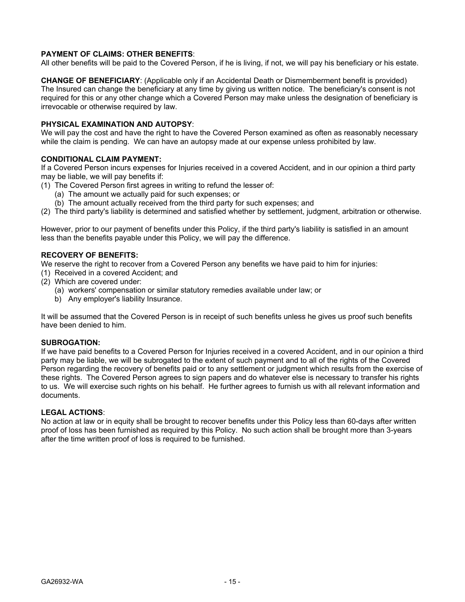### **PAYMENT OF CLAIMS: OTHER BENEFITS**:

All other benefits will be paid to the Covered Person, if he is living, if not, we will pay his beneficiary or his estate.

**CHANGE OF BENEFICIARY**: (Applicable only if an Accidental Death or Dismemberment benefit is provided) The Insured can change the beneficiary at any time by giving us written notice. The beneficiary's consent is not required for this or any other change which a Covered Person may make unless the designation of beneficiary is irrevocable or otherwise required by law.

### **PHYSICAL EXAMINATION AND AUTOPSY**:

We will pay the cost and have the right to have the Covered Person examined as often as reasonably necessary while the claim is pending. We can have an autopsy made at our expense unless prohibited by law.

### **CONDITIONAL CLAIM PAYMENT:**

If a Covered Person incurs expenses for Injuries received in a covered Accident, and in our opinion a third party may be liable, we will pay benefits if:

- (1) The Covered Person first agrees in writing to refund the lesser of:
	- (a) The amount we actually paid for such expenses; or
	- (b) The amount actually received from the third party for such expenses; and
- (2) The third party's liability is determined and satisfied whether by settlement, judgment, arbitration or otherwise.

However, prior to our payment of benefits under this Policy, if the third party's liability is satisfied in an amount less than the benefits payable under this Policy, we will pay the difference.

### **RECOVERY OF BENEFITS:**

We reserve the right to recover from a Covered Person any benefits we have paid to him for injuries:

- (1) Received in a covered Accident; and
- (2) Which are covered under:
	- (a) workers' compensation or similar statutory remedies available under law; or
	- b) Any employer's liability Insurance.

It will be assumed that the Covered Person is in receipt of such benefits unless he gives us proof such benefits have been denied to him.

### **SUBROGATION:**

If we have paid benefits to a Covered Person for Injuries received in a covered Accident, and in our opinion a third party may be liable, we will be subrogated to the extent of such payment and to all of the rights of the Covered Person regarding the recovery of benefits paid or to any settlement or judgment which results from the exercise of these rights. The Covered Person agrees to sign papers and do whatever else is necessary to transfer his rights to us. We will exercise such rights on his behalf. He further agrees to furnish us with all relevant information and documents.

### **LEGAL ACTIONS**:

No action at law or in equity shall be brought to recover benefits under this Policy less than 60-days after written proof of loss has been furnished as required by this Policy. No such action shall be brought more than 3-years after the time written proof of loss is required to be furnished.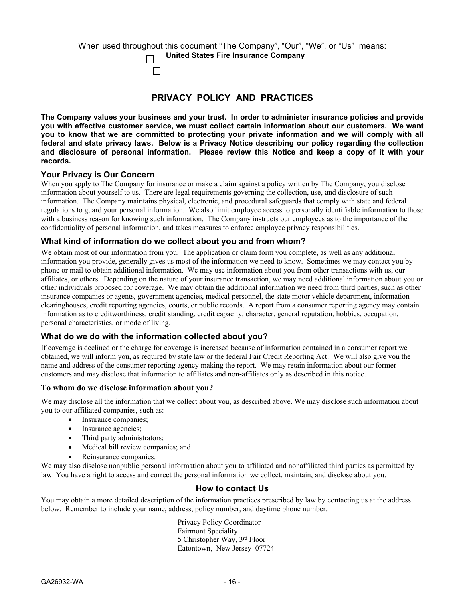| When used throughout this document "The Company", "Our", "We", or "Us" means: |  |
|-------------------------------------------------------------------------------|--|
| <b>United States Fire Insurance Company</b>                                   |  |
|                                                                               |  |

## **PRIVACY POLICY AND PRACTICES**

**The Company values your business and your trust. In order to administer insurance policies and provide you with effective customer service, we must collect certain information about our customers. We want** you to know that we are committed to protecting your private information and we will comply with all **federal and state privacy laws. Below is a Privacy Notice describing our policy regarding the collection and disclosure of personal information. Please review this Notice and keep a copy of it with your records.**

### **Your Privacy is Our Concern**

When you apply to The Company for insurance or make a claim against a policy written by The Company, you disclose information about yourself to us. There are legal requirements governing the collection, use, and disclosure of such information. The Company maintains physical, electronic, and procedural safeguards that comply with state and federal regulations to guard your personal information. We also limit employee access to personally identifiable information to those with a business reason for knowing such information. The Company instructs our employees as to the importance of the confidentiality of personal information, and takes measures to enforce employee privacy responsibilities.

### **What kind of information do we collect about you and from whom?**

We obtain most of our information from you. The application or claim form you complete, as well as any additional information you provide, generally gives us most of the information we need to know. Sometimes we may contact you by phone or mail to obtain additional information. We may use information about you from other transactions with us, our affiliates, or others. Depending on the nature of your insurance transaction, we may need additional information about you or other individuals proposed for coverage. We may obtain the additional information we need from third parties, such as other insurance companies or agents, government agencies, medical personnel, the state motor vehicle department, information clearinghouses, credit reporting agencies, courts, or public records. A report from a consumer reporting agency may contain information as to creditworthiness, credit standing, credit capacity, character, general reputation, hobbies, occupation, personal characteristics, or mode of living.

### **What do we do with the information collected about you?**

If coverage is declined or the charge for coverage is increased because of information contained in a consumer report we obtained, we will inform you, as required by state law or the federal Fair Credit Reporting Act. We will also give you the name and address of the consumer reporting agency making the report. We may retain information about our former customers and may disclose that information to affiliates and non-affiliates only as described in this notice.

### **To whom do we disclose information about you?**

We may disclose all the information that we collect about you, as described above. We may disclose such information about you to our affiliated companies, such as:

- Insurance companies:
- Insurance agencies;
- Third party administrators;
- Medical bill review companies; and
- Reinsurance companies.

We may also disclose nonpublic personal information about you to affiliated and nonaffiliated third parties as permitted by law. You have a right to access and correct the personal information we collect, maintain, and disclose about you.

### **How to contact Us**

You may obtain a more detailed description of the information practices prescribed by law by contacting us at the address below. Remember to include your name, address, policy number, and daytime phone number.

> Privacy Policy Coordinator Fairmont Speciality 5 Christopher Way, 3 rd Floor Eatontown, New Jersey 07724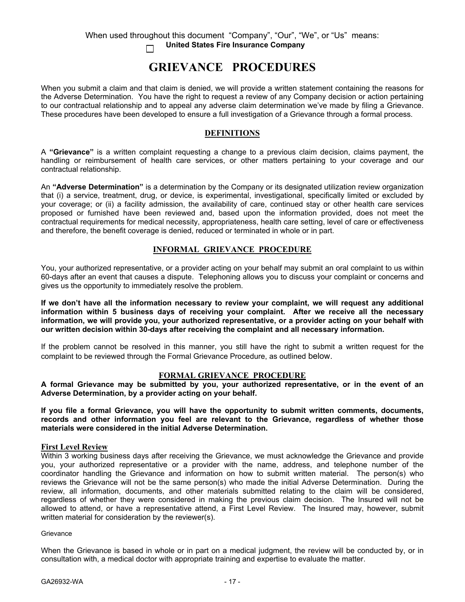#### When used throughout this document "Company", "Our", "We", or "Us" means:  **United States Fire Insurance Company**  $\Box$

# **GRIEVANCE PROCEDURES**

When you submit a claim and that claim is denied, we will provide a written statement containing the reasons for the Adverse Determination. You have the right to request a review of any Company decision or action pertaining to our contractual relationship and to appeal any adverse claim determination we've made by filing a Grievance. These procedures have been developed to ensure a full investigation of a Grievance through a formal process.

### **DEFINITIONS**

A **"Grievance"** is a written complaint requesting a change to a previous claim decision, claims payment, the handling or reimbursement of health care services, or other matters pertaining to your coverage and our contractual relationship.

An **"Adverse Determination"** is a determination by the Company or its designated utilization review organization that (i) a service, treatment, drug, or device, is experimental, investigational, specifically limited or excluded by your coverage; or (ii) a facility admission, the availability of care, continued stay or other health care services proposed or furnished have been reviewed and, based upon the information provided, does not meet the contractual requirements for medical necessity, appropriateness, health care setting, level of care or effectiveness and therefore, the benefit coverage is denied, reduced or terminated in whole or in part.

### **INFORMAL GRIEVANCE PROCEDURE**

You, your authorized representative, or a provider acting on your behalf may submit an oral complaint to us within 60-days after an event that causes a dispute. Telephoning allows you to discuss your complaint or concerns and gives us the opportunity to immediately resolve the problem.

**If we don't have all the information necessary to review your complaint, we will request any additional information within 5 business days of receiving your complaint. After we receive all the necessary information, we will provide you, your authorized representative, or a provider acting on your behalf with our written decision within 30-days after receiving the complaint and all necessary information.**

If the problem cannot be resolved in this manner, you still have the right to submit a written request for the complaint to be reviewed through the Formal Grievance Procedure, as outlined below.

### **FORMAL GRIEVANCE PROCEDURE**

**A formal Grievance may be submitted by you, your authorized representative, or in the event of an Adverse Determination, by a provider acting on your behalf.** 

**If you file a formal Grievance, you will have the opportunity to submit written comments, documents, records and other information you feel are relevant to the Grievance, regardless of whether those materials were considered in the initial Adverse Determination.** 

### **First Level Review**

Within 3 working business days after receiving the Grievance, we must acknowledge the Grievance and provide you, your authorized representative or a provider with the name, address, and telephone number of the coordinator handling the Grievance and information on how to submit written material. The person(s) who reviews the Grievance will not be the same person(s) who made the initial Adverse Determination. During the review, all information, documents, and other materials submitted relating to the claim will be considered, regardless of whether they were considered in making the previous claim decision. The Insured will not be allowed to attend, or have a representative attend, a First Level Review. The Insured may, however, submit written material for consideration by the reviewer(s).

**Grievance** 

When the Grievance is based in whole or in part on a medical judgment, the review will be conducted by, or in consultation with, a medical doctor with appropriate training and expertise to evaluate the matter.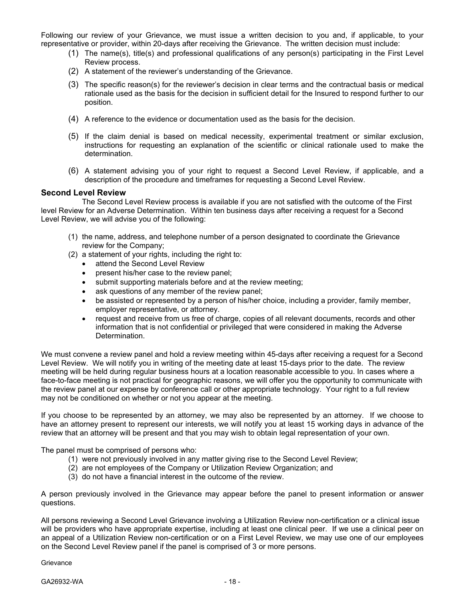Following our review of your Grievance, we must issue a written decision to you and, if applicable, to your representative or provider, within 20-days after receiving the Grievance. The written decision must include:

- (1) The name(s), title(s) and professional qualifications of any person(s) participating in the First Level Review process.
- (2) A statement of the reviewer's understanding of the Grievance.
- (3) The specific reason(s) for the reviewer's decision in clear terms and the contractual basis or medical rationale used as the basis for the decision in sufficient detail for the Insured to respond further to our position.
- (4) A reference to the evidence or documentation used as the basis for the decision.
- (5) If the claim denial is based on medical necessity, experimental treatment or similar exclusion, instructions for requesting an explanation of the scientific or clinical rationale used to make the determination.
- (6) A statement advising you of your right to request a Second Level Review, if applicable, and a description of the procedure and timeframes for requesting a Second Level Review.

### **Second Level Review**

The Second Level Review process is available if you are not satisfied with the outcome of the First level Review for an Adverse Determination. Within ten business days after receiving a request for a Second Level Review, we will advise you of the following:

- (1) the name, address, and telephone number of a person designated to coordinate the Grievance review for the Company;
- (2) a statement of your rights, including the right to:
	- attend the Second Level Review
	- present his/her case to the review panel;
	- submit supporting materials before and at the review meeting;
	- ask questions of any member of the review panel;
	- be assisted or represented by a person of his/her choice, including a provider, family member, employer representative, or attorney.
	- request and receive from us free of charge, copies of all relevant documents, records and other information that is not confidential or privileged that were considered in making the Adverse Determination.

We must convene a review panel and hold a review meeting within 45-days after receiving a request for a Second Level Review. We will notify you in writing of the meeting date at least 15-days prior to the date. The review meeting will be held during regular business hours at a location reasonable accessible to you. In cases where a face-to-face meeting is not practical for geographic reasons, we will offer you the opportunity to communicate with the review panel at our expense by conference call or other appropriate technology. Your right to a full review may not be conditioned on whether or not you appear at the meeting.

If you choose to be represented by an attorney, we may also be represented by an attorney. If we choose to have an attorney present to represent our interests, we will notify you at least 15 working days in advance of the review that an attorney will be present and that you may wish to obtain legal representation of your own.

The panel must be comprised of persons who:

- (1) were not previously involved in any matter giving rise to the Second Level Review;
- (2) are not employees of the Company or Utilization Review Organization; and
- (3) do not have a financial interest in the outcome of the review.

A person previously involved in the Grievance may appear before the panel to present information or answer questions.

All persons reviewing a Second Level Grievance involving a Utilization Review non-certification or a clinical issue will be providers who have appropriate expertise, including at least one clinical peer. If we use a clinical peer on an appeal of a Utilization Review non-certification or on a First Level Review, we may use one of our employees on the Second Level Review panel if the panel is comprised of 3 or more persons.

Grievance